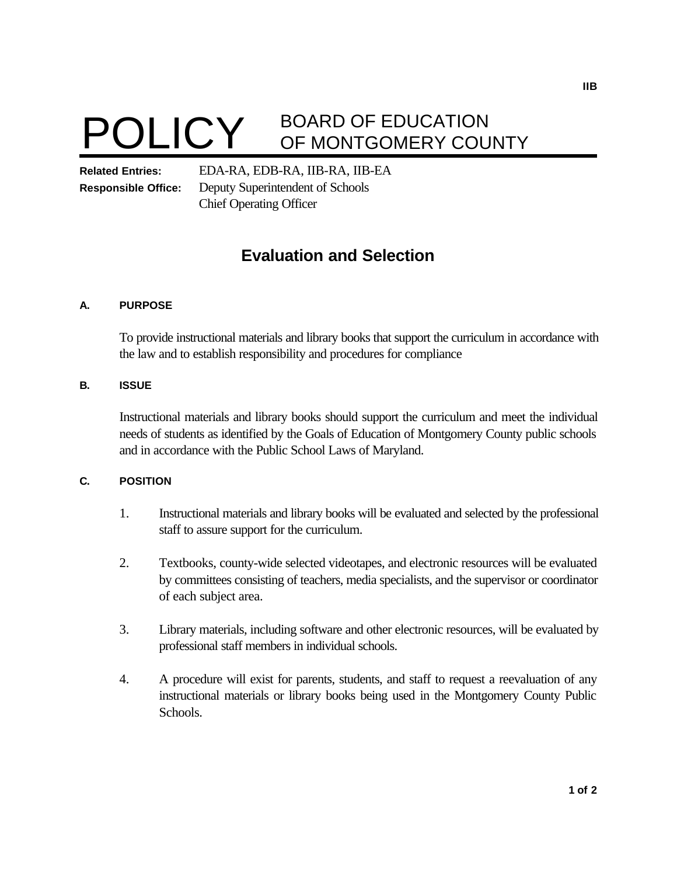

# **POLICY** BOARD OF EDUCATION OF MONTGOMERY COUNTY

**Related Entries:** EDA-RA, EDB-RA, IIB-RA, IIB-EA **Responsible Office:** Deputy Superintendent of Schools Chief Operating Officer

# **Evaluation and Selection**

#### **A. PURPOSE**

To provide instructional materials and library books that support the curriculum in accordance with the law and to establish responsibility and procedures for compliance

#### **B. ISSUE**

Instructional materials and library books should support the curriculum and meet the individual needs of students as identified by the Goals of Education of Montgomery County public schools and in accordance with the Public School Laws of Maryland.

## **C. POSITION**

- 1. Instructional materials and library books will be evaluated and selected by the professional staff to assure support for the curriculum.
- 2. Textbooks, county-wide selected videotapes, and electronic resources will be evaluated by committees consisting of teachers, media specialists, and the supervisor or coordinator of each subject area.
- 3. Library materials, including software and other electronic resources, will be evaluated by professional staff members in individual schools.
- 4. A procedure will exist for parents, students, and staff to request a reevaluation of any instructional materials or library books being used in the Montgomery County Public Schools.